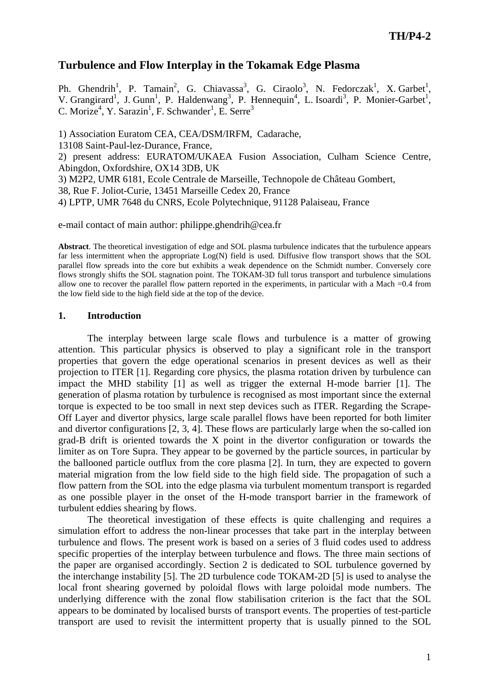# **Turbulence and Flow Interplay in the Tokamak Edge Plasma**

Ph. Ghendrih<sup>1</sup>, P. Tamain<sup>2</sup>, G. Chiavassa<sup>3</sup>, G. Ciraolo<sup>3</sup>, N. Fedorczak<sup>1</sup>, X. Garbet<sup>1</sup>, V. Grangirard<sup>1</sup>, J. Gunn<sup>1</sup>, P. Haldenwang<sup>3</sup>, P. Hennequin<sup>4</sup>, L. Isoardi<sup>3</sup>, P. Monier-Garbet<sup>1</sup>, C. Morize<sup>4</sup>, Y. Sarazin<sup>1</sup>, F. Schwander<sup>1</sup>, E. Serre<sup>3</sup>

1) Association Euratom CEA, CEA/DSM/IRFM, Cadarache,

13108 Saint-Paul-lez-Durance, France,

2) present address: EURATOM/UKAEA Fusion Association, Culham Science Centre, Abingdon, Oxfordshire, OX14 3DB, UK

3) M2P2, UMR 6181, Ecole Centrale de Marseille, Technopole de Château Gombert,

38, Rue F. Joliot-Curie, 13451 Marseille Cedex 20, France

4) LPTP, UMR 7648 du CNRS, Ecole Polytechnique, 91128 Palaiseau, France

e-mail contact of main author: philippe.ghendrih@cea.fr

**Abstract**. The theoretical investigation of edge and SOL plasma turbulence indicates that the turbulence appears far less intermittent when the appropriate Log(N) field is used. Diffusive flow transport shows that the SOL parallel flow spreads into the core but exhibits a weak dependence on the Schmidt number. Conversely core flows strongly shifts the SOL stagnation point. The TOKAM-3D full torus transport and turbulence simulations allow one to recover the parallel flow pattern reported in the experiments, in particular with a Mach =0.4 from the low field side to the high field side at the top of the device.

# **1. Introduction**

 The interplay between large scale flows and turbulence is a matter of growing attention. This particular physics is observed to play a significant role in the transport properties that govern the edge operational scenarios in present devices as well as their projection to ITER [1]. Regarding core physics, the plasma rotation driven by turbulence can impact the MHD stability [1] as well as trigger the external H-mode barrier [1]. The generation of plasma rotation by turbulence is recognised as most important since the external torque is expected to be too small in next step devices such as ITER. Regarding the Scrape-Off Layer and divertor physics, large scale parallel flows have been reported for both limiter and divertor configurations [2, 3, 4]. These flows are particularly large when the so-called ion grad-B drift is oriented towards the X point in the divertor configuration or towards the limiter as on Tore Supra. They appear to be governed by the particle sources, in particular by the ballooned particle outflux from the core plasma [2]. In turn, they are expected to govern material migration from the low field side to the high field side. The propagation of such a flow pattern from the SOL into the edge plasma via turbulent momentum transport is regarded as one possible player in the onset of the H-mode transport barrier in the framework of turbulent eddies shearing by flows.

 The theoretical investigation of these effects is quite challenging and requires a simulation effort to address the non-linear processes that take part in the interplay between turbulence and flows. The present work is based on a series of 3 fluid codes used to address specific properties of the interplay between turbulence and flows. The three main sections of the paper are organised accordingly. Section 2 is dedicated to SOL turbulence governed by the interchange instability [5]. The 2D turbulence code TOKAM-2D [5] is used to analyse the local front shearing governed by poloidal flows with large poloidal mode numbers. The underlying difference with the zonal flow stabilisation criterion is the fact that the SOL appears to be dominated by localised bursts of transport events. The properties of test-particle transport are used to revisit the intermittent property that is usually pinned to the SOL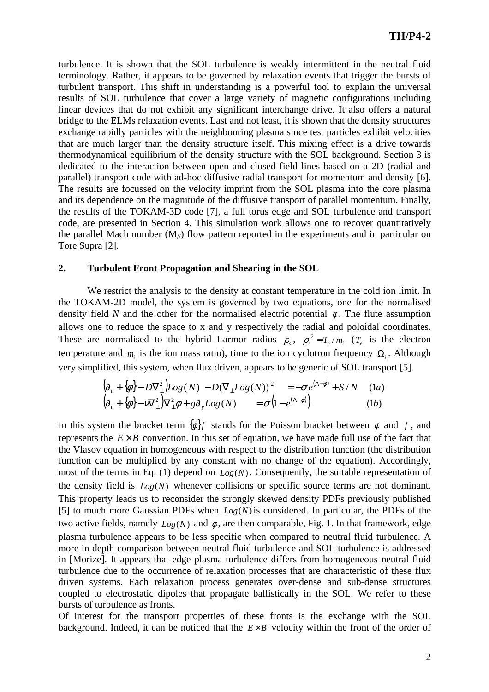turbulence. It is shown that the SOL turbulence is weakly intermittent in the neutral fluid terminology. Rather, it appears to be governed by relaxation events that trigger the bursts of turbulent transport. This shift in understanding is a powerful tool to explain the universal results of SOL turbulence that cover a large variety of magnetic configurations including linear devices that do not exhibit any significant interchange drive. It also offers a natural bridge to the ELMs relaxation events. Last and not least, it is shown that the density structures exchange rapidly particles with the neighbouring plasma since test particles exhibit velocities that are much larger than the density structure itself. This mixing effect is a drive towards thermodynamical equilibrium of the density structure with the SOL background. Section 3 is dedicated to the interaction between open and closed field lines based on a 2D (radial and parallel) transport code with ad-hoc diffusive radial transport for momentum and density [6]. The results are focussed on the velocity imprint from the SOL plasma into the core plasma and its dependence on the magnitude of the diffusive transport of parallel momentum. Finally, the results of the TOKAM-3D code [7], a full torus edge and SOL turbulence and transport code, are presented in Section 4. This simulation work allows one to recover quantitatively the parallel Mach number  $(M<sub>1</sub>)$  flow pattern reported in the experiments and in particular on Tore Supra [2].

### **2. Turbulent Front Propagation and Shearing in the SOL**

 We restrict the analysis to the density at constant temperature in the cold ion limit. In the TOKAM-2D model, the system is governed by two equations, one for the normalised density field *N* and the other for the normalised electric potential  $\phi$ . The flute assumption allows one to reduce the space to x and y respectively the radial and poloidal coordinates. These are normalised to the hybrid Larmor radius  $\rho_s$ ,  $\rho_s^2 = T_e / m_i$  ( $T_e$  is the electron temperature and  $m_i$  is the ion mass ratio), time to the ion cyclotron frequency  $\Omega_i$ . Although very simplified, this system, when flux driven, appears to be generic of SOL transport [5].

$$
\begin{aligned}\n\left(\partial_t + \{\phi\} - D\nabla_\perp^2\right) \text{Log}(N) - D(\nabla_\perp \text{Log}(N))^2 &= -\sigma e^{(\Lambda - \phi)} + S/N \quad (1a) \\
\left(\partial_t + \{\phi\} - \nu \nabla_\perp^2\right) \nabla_\perp^2 \phi + g \partial_\nu \text{Log}(N) &= \sigma \left(1 - e^{(\Lambda - \phi)}\right) \quad (1b)\n\end{aligned}
$$

In this system the bracket term  $\{\phi\}$ *f* stands for the Poisson bracket between  $\phi$  and *f*, and represents the  $E \times B$  convection. In this set of equation, we have made full use of the fact that the Vlasov equation in homogeneous with respect to the distribution function (the distribution function can be multiplied by any constant with no change of the equation). Accordingly, most of the terms in Eq. (1) depend on *Log*(*N*). Consequently, the suitable representation of the density field is *Log*(*N*) whenever collisions or specific source terms are not dominant. This property leads us to reconsider the strongly skewed density PDFs previously published [5] to much more Gaussian PDFs when  $Log(N)$  is considered. In particular, the PDFs of the two active fields, namely  $Log(N)$  and  $\phi$ , are then comparable, Fig. 1. In that framework, edge plasma turbulence appears to be less specific when compared to neutral fluid turbulence. A more in depth comparison between neutral fluid turbulence and SOL turbulence is addressed in [Morize]. It appears that edge plasma turbulence differs from homogeneous neutral fluid turbulence due to the occurrence of relaxation processes that are characteristic of these flux driven systems. Each relaxation process generates over-dense and sub-dense structures coupled to electrostatic dipoles that propagate ballistically in the SOL. We refer to these bursts of turbulence as fronts.

Of interest for the transport properties of these fronts is the exchange with the SOL background. Indeed, it can be noticed that the  $E \times B$  velocity within the front of the order of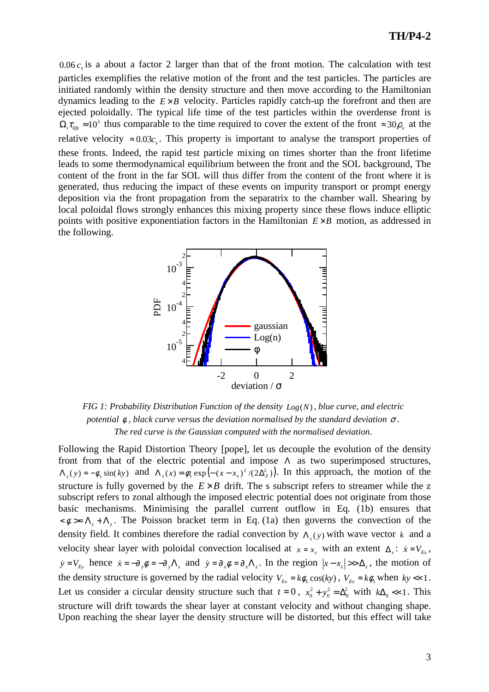$0.06 c<sub>s</sub>$  is a about a factor 2 larger than that of the front motion. The calculation with test particles exemplifies the relative motion of the front and the test particles. The particles are initiated randomly within the density structure and then move according to the Hamiltonian dynamics leading to the  $E \times B$  velocity. Particles rapidly catch-up the forefront and then are ejected poloidally. The typical life time of the test particles within the overdense front is  $\Omega_i \tau_{\text{life}} \approx 10^3$  thus comparable to the time required to cover the extent of the front  $\approx 30 \rho_s$  at the relative velocity  $\approx 0.03c_s$ . This property is important to analyse the transport properties of these fronts. Indeed, the rapid test particle mixing on times shorter than the front lifetime leads to some thermodynamical equilibrium between the front and the SOL background, The content of the front in the far SOL will thus differ from the content of the front where it is generated, thus reducing the impact of these events on impurity transport or prompt energy deposition via the front propagation from the separatrix to the chamber wall. Shearing by local poloidal flows strongly enhances this mixing property since these flows induce elliptic points with positive exponentiation factors in the Hamiltonian *E* × *B* motion, as addressed in the following.



*FIG 1: Probability Distribution Function of the density Log*(*N*)*, blue curve, and electric potential* φ *, black curve versus the deviation normalised by the standard deviation* <sup>σ</sup> *. The red curve is the Gaussian computed with the normalised deviation.*

Following the Rapid Distortion Theory [pope], let us decouple the evolution of the density front from that of the electric potential and impose  $\Lambda$  as two superimposed structures,  $\Lambda_s(y) = -\phi_s \sin(ky)$  and  $\Lambda_z(x) = \phi_z \exp(-(x - x_z)^2 / (2\Delta_z^2))$ . In this approach, the motion of the structure is fully governed by the  $E \times B$  drift. The s subscript refers to streamer while the z subscript refers to zonal although the imposed electric potential does not originate from those basic mechanisms. Minimising the parallel current outflow in Eq. (1b) ensures that  $\langle \phi \rangle = \Lambda_s + \Lambda_z$ . The Poisson bracket term in Eq. (1a) then governs the convection of the density field. It combines therefore the radial convection by  $\Lambda_{\nu}(y)$  with wave vector *k* and a velocity shear layer with poloidal convection localised at  $x = x_z$  with an extent  $\Delta_z$ :  $\dot{x} = V_{Ex}$ ,  $\dot{y} = V_{E_y}$  hence  $\dot{x} = -\partial_y \phi = -\partial_y \Lambda_s$  and  $\dot{y} = \partial_x \phi = \partial_x \Lambda_z$ . In the region  $|x - x_z| \gg \Delta_z$ , the motion of the density structure is governed by the radial velocity  $V_{Ex} = k\phi_s \cos(ky)$ ,  $V_{Ex} \approx k\phi_s$  when  $ky \ll 1$ . Let us consider a circular density structure such that  $t = 0$ ,  $x_0^2 + y_0^2 = \Delta_0^2$  with  $k\Delta_0 \ll 1$ . This structure will drift towards the shear layer at constant velocity and without changing shape. Upon reaching the shear layer the density structure will be distorted, but this effect will take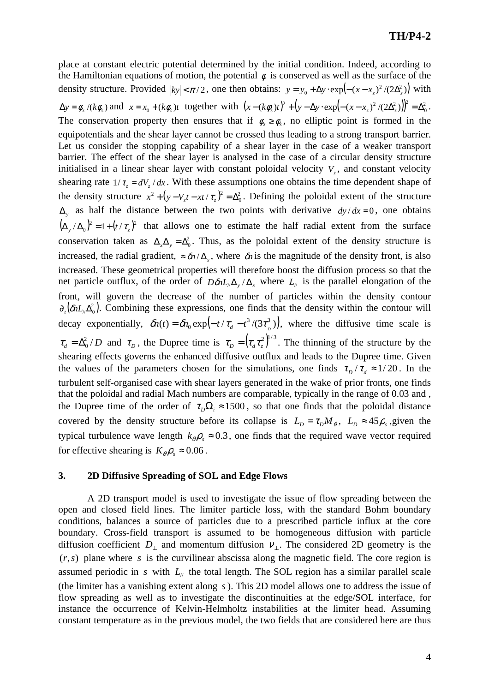place at constant electric potential determined by the initial condition. Indeed, according to the Hamiltonian equations of motion, the potential  $\phi$  is conserved as well as the surface of the density structure. Provided  $|ky| < \pi/2$ , one then obtains:  $y = y_0 + \Delta y \cdot \exp(-(x - x_z)^2/(2\Delta_z^2))$  with  $\Delta y = \phi_z / (k\phi_s)$  and  $x = x_0 + (k\phi_s)t$  together with  $(x - (k\phi_s)t)^2 + (y - \Delta y \cdot \exp(-(x - x_z)^2 / (2\Delta_z^2)))^2 = \Delta_0^2$ . The conservation property then ensures that if  $\phi_z \ge \phi_s$ , no elliptic point is formed in the equipotentials and the shear layer cannot be crossed thus leading to a strong transport barrier. Let us consider the stopping capability of a shear layer in the case of a weaker transport barrier. The effect of the shear layer is analysed in the case of a circular density structure initialised in a linear shear layer with constant poloidal velocity  $V_z$ , and constant velocity shearing rate  $1/\tau_z = dV_z/dx$ . With these assumptions one obtains the time dependent shape of the density structure  $x^2 + (y - V_z t - xt / \tau_z)^2 = \Delta_0^2$ . Defining the poloidal extent of the structure  $\Delta$ <sup>*y*</sup> as half the distance between the two points with derivative  $dy/dx = 0$ , one obtains  $(\Delta_{v}/\Delta_{0})^{2} = 1 + (t/\tau_{z})^{2}$  $(\Delta_y / \Delta_0)^2 = 1 + (t / \tau_z)^2$  that allows one to estimate the half radial extent from the surface conservation taken as  $\Delta_x \Delta_y = \Delta_0^2$ . Thus, as the poloidal extent of the density structure is increased, the radial gradient,  $\approx \delta n / \Delta_{x}$ , where  $\delta n$  is the magnitude of the density front, is also increased. These geometrical properties will therefore boost the diffusion process so that the net particle outflux, of the order of  $D\delta nL_{/}/\Delta_{\chi}$  where  $L_{/}//N_{\chi}$  is the parallel elongation of the front, will govern the decrease of the number of particles within the density contour  $\partial_t (\delta n L/\Delta_0^2)$ . Combining these expressions, one finds that the density within the contour will decay exponentially,  $\delta n(t) = \delta n_0 \exp(-t/\tau_d - t^3/(3\tau_s^3)),$  $\delta n(t) = \delta n_0 \exp(-t/\tau_d - t^3/(3\tau_p^3))$ , where the diffusive time scale is  $\tau_d = \Delta_0^2/D$  and  $\tau_D$ , the Dupree time is  $\tau_D = (\tau_d \tau_z^2)^{1/3}$  $\tau_D = (\tau_d \tau_z^2)^{1/3}$ . The thinning of the structure by the shearing effects governs the enhanced diffusive outflux and leads to the Dupree time. Given the values of the parameters chosen for the simulations, one finds  $\tau_D / \tau_d \approx 1/20$ . In the turbulent self-organised case with shear layers generated in the wake of prior fronts, one finds that the poloidal and radial Mach numbers are comparable, typically in the range of 0.03 and , the Dupree time of the order of  $\tau_p \Omega$ <sub>i</sub> ≈ 1500, so that one finds that the poloidal distance covered by the density structure before its collapse is  $L_p = \tau_p M_\theta$ ,  $L_p \approx 45 \rho_s$ , given the typical turbulence wave length  $k_{\theta} \rho_{s} \approx 0.3$ , one finds that the required wave vector required for effective shearing is  $K_{\theta} \rho_s \approx 0.06$ .

# **3. 2D Diffusive Spreading of SOL and Edge Flows**

 A 2D transport model is used to investigate the issue of flow spreading between the open and closed field lines. The limiter particle loss, with the standard Bohm boundary conditions, balances a source of particles due to a prescribed particle influx at the core boundary. Cross-field transport is assumed to be homogeneous diffusion with particle diffusion coefficient  $D_{\perp}$  and momentum diffusion  $v_{\perp}$ . The considered 2D geometry is the (*r*,*s*) plane where *s* is the curvilinear abscissa along the magnetic field. The core region is assumed periodic in *s* with  $L_{\text{M}}$  the total length. The SOL region has a similar parallel scale (the limiter has a vanishing extent along *s* ). This 2D model allows one to address the issue of flow spreading as well as to investigate the discontinuities at the edge/SOL interface, for instance the occurrence of Kelvin-Helmholtz instabilities at the limiter head. Assuming constant temperature as in the previous model, the two fields that are considered here are thus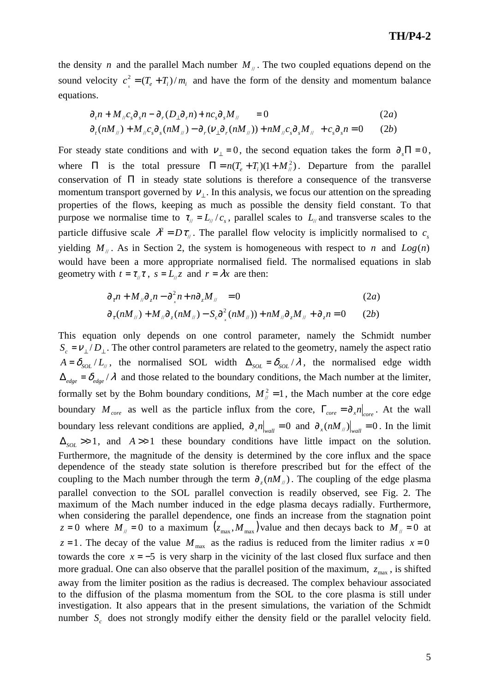the density *n* and the parallel Mach number  $M_{\nu}$ . The two coupled equations depend on the sound velocity  $c_s^2 = (T_e + T_i)/m_i$  and have the form of the density and momentum balance equations.

$$
\partial_{t} n + M_{\parallel} c_{s} \partial_{s} n - \partial_{r} (D_{\perp} \partial_{r} n) + n c_{s} \partial_{s} M_{\parallel} = 0
$$
\n
$$
\partial_{t} (n M_{\parallel}) + M_{\parallel} c_{s} \partial_{s} (n M_{\parallel}) - \partial_{r} (v_{\perp} \partial_{r} (n M_{\parallel})) + n M_{\parallel} c_{s} \partial_{s} M_{\parallel} + c_{s} \partial_{s} n = 0
$$
\n(2*b*)

For steady state conditions and with  $v_{\perp} = 0$ , the second equation takes the form  $\partial_s \Pi = 0$ , where  $\Pi$  is the total pressure  $\Pi = n(T_e + T_i)(1 + M_i^2)$ . Departure from the parallel conservation of  $\Pi$  in steady state solutions is therefore a consequence of the transverse momentum transport governed by  $v_{\perp}$ . In this analysis, we focus our attention on the spreading properties of the flows, keeping as much as possible the density field constant. To that purpose we normalise time to  $\tau_{\parallel} = L_{\parallel}/c_s$ , parallel scales to *L*<sub>//</sub> and transverse scales to the particle diffusive scale  $\lambda^2 = D\tau_{\mu}$ . The parallel flow velocity is implicitly normalised to  $c_s$ yielding  $M_{\nu}$ . As in Section 2, the system is homogeneous with respect to *n* and  $Log(n)$ would have been a more appropriate normalised field. The normalised equations in slab geometry with  $t = \tau_{\nu} \tau$ ,  $s = L_{\nu} z$  and  $r = \lambda x$  are then:

$$
\partial_{\tau} n + M_{\parallel} \partial_{z} n - \partial_{x}^{2} n + n \partial_{z} M_{\parallel} = 0
$$
\n
$$
\partial_{\tau} (n M_{\parallel}) + M_{\parallel} \partial_{z} (n M_{\parallel}) - S_{c} \partial_{x}^{2} (n M_{\parallel}) + n M_{\parallel} \partial_{z} M_{\parallel} + \partial_{z} n = 0
$$
\n(2*b*)

This equation only depends on one control parameter, namely the Schmidt number  $S_c = v_\perp / D_\perp$ . The other control parameters are related to the geometry, namely the aspect ratio  $A = \delta_{SOL}/L_{\text{max}}$ , the normalised SOL width  $\Delta_{SOL} = \delta_{SOL}/\lambda$ , the normalised edge width  $\Delta_{edge} = \delta_{edge} / \lambda$  and those related to the boundary conditions, the Mach number at the limiter, formally set by the Bohm boundary conditions,  $M_{\ell}^2 = 1$ , the Mach number at the core edge boundary  $M_{core}$  as well as the particle influx from the core,  $\Gamma_{core} = \partial_x n \vert_{core}$ . At the wall boundary less relevant conditions are applied,  $\partial_x n|_{wall} = 0$  and  $\partial_x (nM)_{full} = 0$ . In the limit  $\Delta_{SOL}$  >>1, and *A* >>1 these boundary conditions have little impact on the solution. Furthermore, the magnitude of the density is determined by the core influx and the space dependence of the steady state solution is therefore prescribed but for the effect of the coupling to the Mach number through the term  $\partial_z(nM_{\ell})$ . The coupling of the edge plasma parallel convection to the SOL parallel convection is readily observed, see Fig. 2. The maximum of the Mach number induced in the edge plasma decays radially. Furthermore, when considering the parallel dependence, one finds an increase from the stagnation point  $z = 0$  where  $M_{\nu} = 0$  to a maximum  $(z_{\text{max}}, M_{\text{max}})$  value and then decays back to  $M_{\nu} = 0$  at  $z = 1$ . The decay of the value  $M_{\text{max}}$  as the radius is reduced from the limiter radius  $x = 0$ towards the core  $x = -5$  is very sharp in the vicinity of the last closed flux surface and then more gradual. One can also observe that the parallel position of the maximum,  $z_{\text{max}}$ , is shifted away from the limiter position as the radius is decreased. The complex behaviour associated to the diffusion of the plasma momentum from the SOL to the core plasma is still under investigation. It also appears that in the present simulations, the variation of the Schmidt number  $S_c$  does not strongly modify either the density field or the parallel velocity field.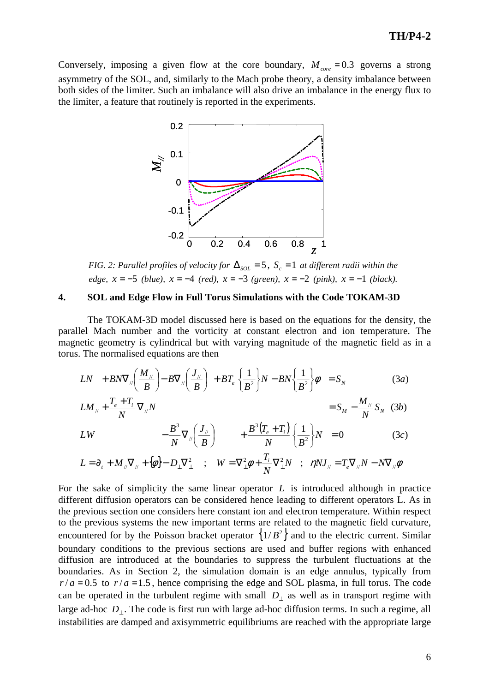Conversely, imposing a given flow at the core boundary,  $M_{core} = 0.3$  governs a strong asymmetry of the SOL, and, similarly to the Mach probe theory, a density imbalance between both sides of the limiter. Such an imbalance will also drive an imbalance in the energy flux to the limiter, a feature that routinely is reported in the experiments.



*FIG. 2: Parallel profiles of velocity for*  $\Delta_{\text{SOL}} = 5$ ,  $S_c = 1$  *at different radii within the edge, x* = −5 *(blue), x* = −4 *(red), x* = −3 *(green), x* = −2 *(pink), x* = −1 *(black).* 

#### **4. SOL and Edge Flow in Full Torus Simulations with the Code TOKAM-3D**

 The TOKAM-3D model discussed here is based on the equations for the density, the parallel Mach number and the vorticity at constant electron and ion temperature. The magnetic geometry is cylindrical but with varying magnitude of the magnetic field as in a torus. The normalised equations are then

$$
LN + BN\nabla_{\theta}\left(\frac{M_{\theta}}{B}\right) - B\nabla_{\theta}\left(\frac{J_{\theta}}{B}\right) + BT_{e}\left\{\frac{1}{B^{2}}\right\}N - BN\left\{\frac{1}{B^{2}}\right\}\phi = S_{N}
$$
(3a)  

$$
LM_{\theta} + \frac{T_{e} + T_{i}}{N}\nabla_{\theta}N
$$

$$
= S_{M} - \frac{M_{\theta}}{N}S_{N}
$$
(3b)  

$$
LW - \frac{B^{3}}{N}\nabla_{\theta}\left(\frac{J_{\theta}}{B}\right) + \frac{B^{3}(T_{e} + T_{i})}{N}\left\{\frac{1}{B^{2}}\right\}N = 0
$$
(3c)

$$
L = \partial_t + M_{\text{u}} \nabla_{\text{u}} + {\phi} - D_{\text{u}} \nabla_{\text{u}}^2 \quad ; \quad W = \nabla_{\text{u}}^2 \phi + \frac{T_i}{N} \nabla_{\text{u}}^2 N \quad ; \quad \eta N J_{\text{u}} = T_e \nabla_{\text{u}} N - N \nabla_{\text{u}} \phi
$$

For the sake of simplicity the same linear operator *L* is introduced although in practice different diffusion operators can be considered hence leading to different operators L. As in the previous section one considers here constant ion and electron temperature. Within respect to the previous systems the new important terms are related to the magnetic field curvature, encountered for by the Poisson bracket operator  $\{1/B^2\}$  and to the electric current. Similar boundary conditions to the previous sections are used and buffer regions with enhanced diffusion are introduced at the boundaries to suppress the turbulent fluctuations at the boundaries. As in Section 2, the simulation domain is an edge annulus, typically from  $r/a = 0.5$  to  $r/a = 1.5$ , hence comprising the edge and SOL plasma, in full torus. The code can be operated in the turbulent regime with small  $D_{\perp}$  as well as in transport regime with large ad-hoc *D*<sub>⊥</sub>. The code is first run with large ad-hoc diffusion terms. In such a regime, all instabilities are damped and axisymmetric equilibriums are reached with the appropriate large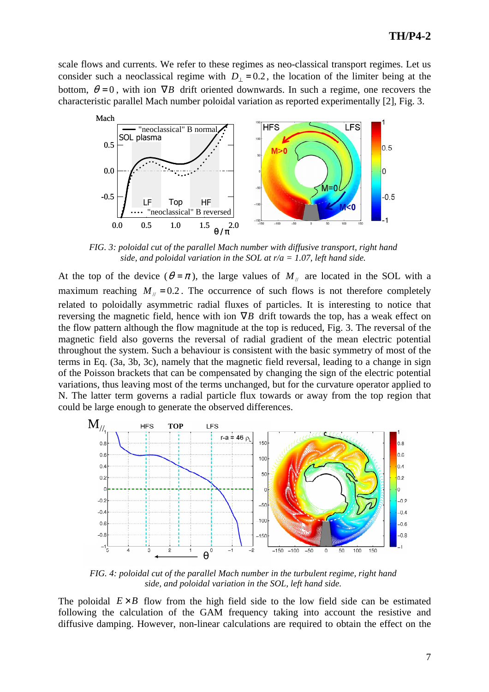scale flows and currents. We refer to these regimes as neo-classical transport regimes. Let us consider such a neoclassical regime with  $D_{\perp} = 0.2$ , the location of the limiter being at the bottom,  $\theta = 0$ , with ion  $\nabla B$  drift oriented downwards. In such a regime, one recovers the characteristic parallel Mach number poloidal variation as reported experimentally [2], Fig. 3.



*FIG. 3: poloidal cut of the parallel Mach number with diffusive transport, right hand side, and poloidal variation in the SOL at r/a = 1.07, left hand side.* 

At the top of the device  $(\theta = \pi)$ , the large values of  $M_{\text{M}}$  are located in the SOL with a maximum reaching  $M_{\parallel} = 0.2$ . The occurrence of such flows is not therefore completely related to poloidally asymmetric radial fluxes of particles. It is interesting to notice that reversing the magnetic field, hence with ion ∇*B* drift towards the top, has a weak effect on the flow pattern although the flow magnitude at the top is reduced, Fig. 3. The reversal of the magnetic field also governs the reversal of radial gradient of the mean electric potential throughout the system. Such a behaviour is consistent with the basic symmetry of most of the terms in Eq. (3a, 3b, 3c), namely that the magnetic field reversal, leading to a change in sign of the Poisson brackets that can be compensated by changing the sign of the electric potential variations, thus leaving most of the terms unchanged, but for the curvature operator applied to N. The latter term governs a radial particle flux towards or away from the top region that could be large enough to generate the observed differences.



*FIG. 4: poloidal cut of the parallel Mach number in the turbulent regime, right hand side, and poloidal variation in the SOL, left hand side.* 

The poloidal  $E \times B$  flow from the high field side to the low field side can be estimated following the calculation of the GAM frequency taking into account the resistive and diffusive damping. However, non-linear calculations are required to obtain the effect on the